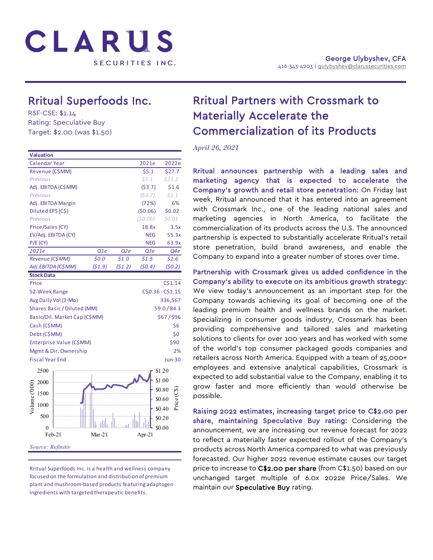

# Rritual Superfoods Inc.<br>RSF-CSE: \$1.14

Rating: Speculative Buy Target: \$2.00 (was \$1.50)

| <b>Valuation</b>       |                               |                   |        |            |               |  |
|------------------------|-------------------------------|-------------------|--------|------------|---------------|--|
| Calendar Year          |                               |                   |        | 2021e      | 2022e         |  |
| Revenue (C\$MM)        |                               |                   |        | \$5.1      | \$27.7        |  |
| Previous               |                               |                   |        | \$5.1      | \$21.2        |  |
|                        | Adj. EBITDA (C\$MM)           |                   |        | (53.7)     | \$1.6         |  |
| Previous               |                               |                   |        | (53.7)     | \$1.1         |  |
|                        | Adj. EBITDA Margin            |                   |        | (72%)      | 6%            |  |
| Diluted EPS (C\$)      |                               |                   |        | (50.06)    | \$0.02        |  |
| Previous               |                               |                   |        | (50.06)    | \$0.01        |  |
| Price/Sales (CY)       |                               |                   |        | 18.8x      | 3.5x          |  |
|                        | EV/Adj. EBITDA (CY)           |                   |        | <b>NEG</b> | 55.3x         |  |
| P/E(CY)                |                               |                   |        | <b>NEG</b> | 63.9x         |  |
| 2021e                  |                               | Q1e               | Q2e    | Q3 е       | Q4e           |  |
| Revenue (C\$MM)        |                               | 50.0              | 51.0   | \$1.5      | \$2.6         |  |
|                        | Adj.EBITDA (C\$MM)            | (51.9)            | (51.2) | (50.4)     | (50.2)        |  |
| <b>Stock Data</b>      |                               |                   |        |            |               |  |
| Price                  |                               |                   |        |            | C\$1.14       |  |
| 52-Week Range          |                               | C\$0.36 - C\$1.15 |        |            |               |  |
|                        | Avg Daily Vol (3-Mo)          | 336,567           |        |            |               |  |
|                        | Shares Basic / Diluted (MM)   |                   |        |            | 59.0/84.3     |  |
|                        | Basic/Dil. Market Cap (C\$MM) |                   |        |            | \$67/\$96     |  |
| Cash (C\$MM)           |                               |                   |        |            | \$6           |  |
| Debt (C\$MM)           |                               |                   |        |            | \$0           |  |
|                        | Enterprise Value (C\$MM)      |                   |        |            | \$90          |  |
|                        | Mgmt & Dir. Ownership         |                   | 2%     |            |               |  |
| <b>Fiscal Year End</b> |                               |                   |        |            | <b>Jun-30</b> |  |
| 2500                   |                               |                   |        |            | \$1.20        |  |
|                        |                               |                   |        |            | \$1.00        |  |
| 2000                   |                               |                   |        |            |               |  |
| 1500                   |                               |                   |        |            | \$0.80        |  |
| Volume ('000<br>1000   |                               |                   |        |            | \$0.60        |  |
| 500                    |                               |                   |        |            | \$0.40        |  |
|                        |                               |                   |        |            | \$0.20        |  |
| 0                      |                               |                   |        |            | \$0.00        |  |
|                        | Feb-21                        | Mar- $21$         |        | Apr-21     |               |  |
| Source: Refinitiv      |                               |                   |        |            |               |  |
|                        |                               |                   |        |            |               |  |

#### Rritual Superfoods Inc. is a health and wellness company focused on the formulation and distribution of premium plant and mushroom-based products featuring adaptogen ingredients with targeted therapeutic benefits.

## Rritual Partners with Crossmark to Materially Accelerate the Commercialization of its Products

*April 26, 2021*

Rritual announces partnership with a leading sales and marketing agency that is expected to accelerate the Company's growth and retail store penetration: On Friday last week, Rritual announced that it has entered into an agreement with Crossmark Inc., one of the leading national sales and marketing agencies in North America, to facilitate the commercialization of its products across the U.S. The announced partnership is expected to substantially accelerate Rritual's retail store penetration, build brand awareness, and enable the Company to expand into a greater number of stores over time.

Partnership with Crossmark gives us added confidence in the Company's ability to execute on its ambitious growth strategy: We view today's announcement as an important step for the Company towards achieving its goal of becoming one of the leading premium health and wellness brands on the market. Specializing in consumer goods industry, Crossmark has been providing comprehensive and tailored sales and marketing solutions to clients for over 100 years and has worked with some of the world's top consumer packaged goods companies and retailers across North America. Equipped with a team of 25,000+ employees and extensive analytical capabilities, Crossmark is expected to add substantial value to the Company, enabling it to grow faster and more efficiently than would otherwise be possible.

Raising 2022 estimates, increasing target price to C\$2.00 per share, maintaining Speculative Buy rating: Considering the announcement, we are increasing our revenue forecast for 2022 to reflect a materially faster expected rollout of the Company's products across North America compared to what was previously forecasted. Our higher 2022 revenue estimate causes our target price to increase to C\$2.00 per share (from C\$1.50) based on our unchanged target multiple of 6.0x 2022e Price/Sales. We maintain our Speculative Buy rating.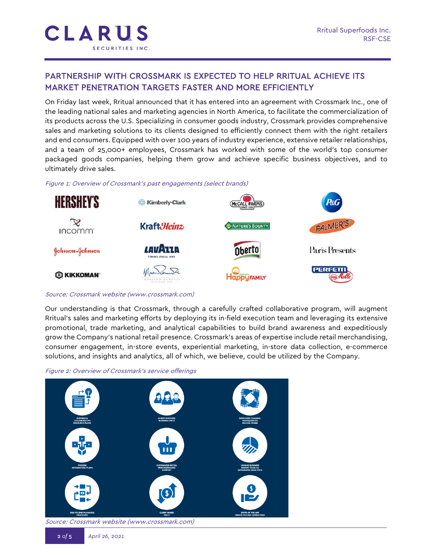### PARTNERSHIP WITH CROSSMARK IS EXPECTED TO HELP RRITUAL ACHIEVE ITS MARKET PENETRATION TARGETS FASTER AND MORE EFFICIENTLY

On Friday last week, Rritual announced that it has entered into an agreement with Crossmark Inc., one of the leading national sales and marketing agencies in North America, to facilitate the commercialization of its products across the U.S. Specializing in consumer goods industry, Crossmark provides comprehensive sales and marketing solutions to its clients designed to efficiently connect them with the right retailers and end consumers. Equipped with over 100 years of industry experience, extensive retailer relationships, and a team of 25,000+ employees, Crossmark has worked with some of the world's top consumer packaged goods companies, helping them grow and achieve specific business objectives, and to ultimately drive sales.

Figure 1: Overview of Crossmark's past engagements (select brands)



#### Source: Crossmark website (www.crossmark.com)

Our understanding is that Crossmark, through a carefully crafted collaborative program, will augment Rritual's sales and marketing efforts by deploying its in-field execution team and leveraging its extensive promotional, trade marketing, and analytical capabilities to build brand awareness and expeditiously grow the Company's national retail presence. Crossmark's areas of expertise include retail merchandising, consumer engagement, in-store events, experiential marketing, in-store data collection, e-commerce solutions, and insights and analytics, all of which, we believe, could be utilized by the Company.



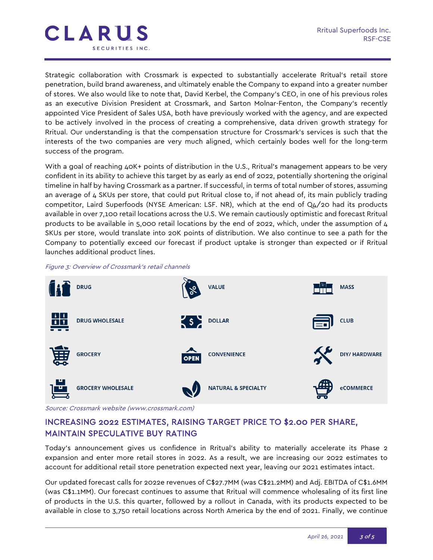

Strategic collaboration with Crossmark is expected to substantially accelerate Rritual's retail store penetration, build brand awareness, and ultimately enable the Company to expand into a greater number of stores. We also would like to note that, David Kerbel, the Company's CEO, in one of his previous roles as an executive Division President at Crossmark, and Sarton Molnar-Fenton, the Company's recently appointed Vice President of Sales USA, both have previously worked with the agency, and are expected to be actively involved in the process of creating a comprehensive, data driven growth strategy for Rritual. Our understanding is that the compensation structure for Crossmark's services is such that the interests of the two companies are very much aligned, which certainly bodes well for the long-term success of the program.

With a goal of reaching 40K+ points of distribution in the U.S., Rritual's management appears to be very confident in its ability to achieve this target by as early as end of 2022, potentially shortening the original timeline in half by having Crossmark as a partner. If successful, in terms of total number of stores, assuming an average of 4 SKUs per store, that could put Rritual close to, if not ahead of, its main publicly trading competitor, Laird Superfoods (NYSE American: LSF. NR), which at the end of Q4/20 had its products available in over 7,100 retail locations across the U.S. We remain cautiously optimistic and forecast Rritual products to be available in 5,000 retail locations by the end of 2022, which, under the assumption of 4 SKUs per store, would translate into 20K points of distribution. We also continue to see a path for the Company to potentially exceed our forecast if product uptake is stronger than expected or if Rritual launches additional product lines.

#### Figure 3: Overview of Crossmark's retail channels



Source: Crossmark website (www.crossmark.com)

## INCREASING 2022 ESTIMATES, RAISING TARGET PRICE TO \$2.00 PER SHARE, MAINTAIN SPECULATIVE BUY RATING

Today's announcement gives us confidence in Rritual's ability to materially accelerate its Phase 2 expansion and enter more retail stores in 2022. As a result, we are increasing our 2022 estimates to account for additional retail store penetration expected next year, leaving our 2021 estimates intact.

Our updated forecast calls for 2022e revenues of C\$27.7MM (was C\$21.2MM) and Adj. EBITDA of C\$1.6MM (was C\$1.1MM). Our forecast continues to assume that Rritual will commence wholesaling of its first line of products in the U.S. this quarter, followed by a rollout in Canada, with its products expected to be available in close to 3,750 retail locations across North America by the end of 2021. Finally, we continue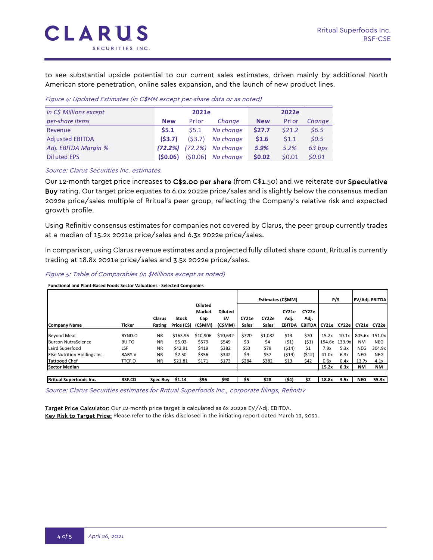to see substantial upside potential to our current sales estimates, driven mainly by additional North American store penetration, online sales expansion, and the launch of new product lines.

Figure 4: Updated Estimates (in C\$MM except per-share data or as noted)

| In C\$ Millions except | 2021e      |        |                     | 2022e      |        |        |  |  |
|------------------------|------------|--------|---------------------|------------|--------|--------|--|--|
| per-share items        | <b>New</b> | Prior  | Change              | <b>New</b> | Prior  | Change |  |  |
| Revenue                | \$5.1      | \$5.1  | No change           | \$27.7     | \$21.2 | \$6.5  |  |  |
| <b>Adjusted EBITDA</b> | (53.7)     | (53.7) | No change           | \$1.6      | \$1.1  | 50.5   |  |  |
| Adj. EBITDA Margin %   | (72.2%)    |        | $(72.2%)$ No change | 5.9%       | 5.2%   | 63 bps |  |  |
| <b>Diluted EPS</b>     | (S0.06)    |        | $(50.06)$ No change | \$0.02     | \$0.01 | 50.01  |  |  |

Source: Clarus Securities Inc. estimates.

Our 12-month target price increases to C\$2.00 per share (from C\$1.50) and we reiterate our Speculative Buy rating. Our target price equates to 6.0x 2022e price/sales and is slightly below the consensus median 2022e price/sales multiple of Rritual's peer group, reflecting the Company's relative risk and expected growth profile.

Using Refinitiv consensus estimates for companies not covered by Clarus, the peer group currently trades at a median of 15.2x 2021e price/sales and 6.3x 2022e price/sales.

In comparison, using Clarus revenue estimates and a projected fully diluted share count, Rritual is currently trading at 18.8x 2021e price/sales and 3.5x 2022e price/sales.

Figure 5: Table of Comparables (in \$Millions except as noted)

**Functional and Plant-Based Foods Sector Valuations - Selected Companies**

|                                |               |                 |             |                |                | Estimates (C\$MM) |              |               |               |        |        |                |               |
|--------------------------------|---------------|-----------------|-------------|----------------|----------------|-------------------|--------------|---------------|---------------|--------|--------|----------------|---------------|
|                                |               |                 |             |                |                |                   |              |               |               | P/S    |        | EV/Adj. EBITDA |               |
|                                |               |                 |             | <b>Diluted</b> |                |                   |              |               |               |        |        |                |               |
|                                |               |                 |             | <b>Market</b>  | <b>Diluted</b> |                   |              | CY21e         | CY22e         |        |        |                |               |
|                                |               | Clarus          | Stock       | Cap            | EV             | CY21e             | CY22e        | Adj.          | Adj.          |        |        |                |               |
| <b>Company Name</b>            | Ticker        | Rating          | Price (C\$) | (C\$MM)        | (CŚMM)         | <b>Sales</b>      | <b>Sales</b> | <b>EBITDA</b> | <b>EBITDA</b> | CY21e  | CY22e  | CY21e          | CY22e         |
| <b>Beyond Meat</b>             | BYND.O        | <b>NR</b>       | \$163.95    | \$10,906       | \$10,632       | \$720             | \$1,082      | \$13          | \$70          | 15.2x  | 10.1x  |                | 805.6x 151.0x |
| Burcon NutraScience            | BU.TO         | <b>NR</b>       | \$5.03      | \$579          | \$549          | \$3               | \$4          | (51)          | (51)          | 194.6x | 133.9x | <b>NM</b>      | <b>NEG</b>    |
| Laird Superfood                | LSF           | <b>NR</b>       | \$42.91     | \$419          | \$382          | \$53              | \$79         | (514)         | \$1           | 7.9x   | 5.3x   | NEG            | 304.9x        |
| Else Nutrition Holdings Inc.   | BABY.V        | <b>NR</b>       | \$2.50      | \$356          | \$342          | \$9               | \$57         | (\$19)        | (512)         | 41.0x  | 6.3x   | NEG            | <b>NEG</b>    |
| <b>Tattooed Chef</b>           | TTCF.O        | <b>NR</b>       | \$21.81     | \$171          | \$173          | \$284             | \$382        | \$13          | \$42          | 0.6x   | 0.4x   | 13.7x          | 4.1x          |
| Sector Median                  |               |                 |             |                |                |                   |              |               |               | 15.2x  | 6.3x   | <b>NM</b>      | NM            |
|                                |               |                 |             |                |                |                   |              |               |               |        |        |                |               |
| <b>Rritual Superfoods Inc.</b> | <b>RSF.CD</b> | <b>Spec Buy</b> | \$1.14      | \$96           | \$90           | \$5               | \$28         | (\$4)         | \$2           | 18.8x  | 3.5x   | <b>NEG</b>     | 55.3x         |

Source: Clarus Securities estimates for Rritual Superfoods Inc., corporate filings, Refinitiv

Target Price Calculator: Our 12-month price target is calculated as 6x 2022e EV/Adj. EBITDA. Key Risk to Target Price: Please refer to the risks disclosed in the initiating report dated March 12, 2021.